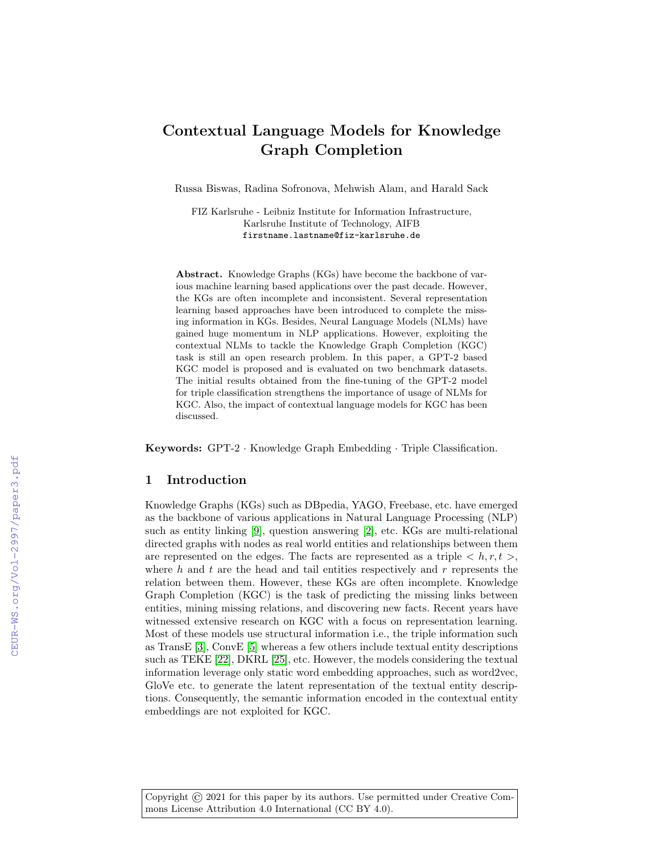# Contextual Language Models for Knowledge Graph Completion

Russa Biswas, Radina Sofronova, Mehwish Alam, and Harald Sack

FIZ Karlsruhe - Leibniz Institute for Information Infrastructure, Karlsruhe Institute of Technology, AIFB firstname.lastname@fiz-karlsruhe.de

Abstract. Knowledge Graphs (KGs) have become the backbone of various machine learning based applications over the past decade. However, the KGs are often incomplete and inconsistent. Several representation learning based approaches have been introduced to complete the missing information in KGs. Besides, Neural Language Models (NLMs) have gained huge momentum in NLP applications. However, exploiting the contextual NLMs to tackle the Knowledge Graph Completion (KGC) task is still an open research problem. In this paper, a GPT-2 based KGC model is proposed and is evaluated on two benchmark datasets. The initial results obtained from the fine-tuning of the GPT-2 model for triple classification strengthens the importance of usage of NLMs for KGC. Also, the impact of contextual language models for KGC has been discussed.

Keywords: GPT-2 · Knowledge Graph Embedding · Triple Classification.

## 1 Introduction

Knowledge Graphs (KGs) such as DBpedia, YAGO, Freebase, etc. have emerged as the backbone of various applications in Natural Language Processing (NLP) such as entity linking [\[9\]](#page--1-0), question answering [\[2\]](#page--1-1), etc. KGs are multi-relational directed graphs with nodes as real world entities and relationships between them are represented on the edges. The facts are represented as a triple  $\langle h, r, t \rangle$ , where h and t are the head and tail entities respectively and  $r$  represents the relation between them. However, these KGs are often incomplete. Knowledge Graph Completion (KGC) is the task of predicting the missing links between entities, mining missing relations, and discovering new facts. Recent years have witnessed extensive research on KGC with a focus on representation learning. Most of these models use structural information i.e., the triple information such as TransE [\[3\]](#page--1-2), ConvE [\[5\]](#page--1-3) whereas a few others include textual entity descriptions such as TEKE [\[22\]](#page--1-4), DKRL [\[25\]](#page--1-5), etc. However, the models considering the textual information leverage only static word embedding approaches, such as word2vec, GloVe etc. to generate the latent representation of the textual entity descriptions. Consequently, the semantic information encoded in the contextual entity embeddings are not exploited for KGC.

Copyright  $\odot$  2021 for this paper by its authors. Use permitted under Creative Commons License Attribution 4.0 International (CC BY 4.0).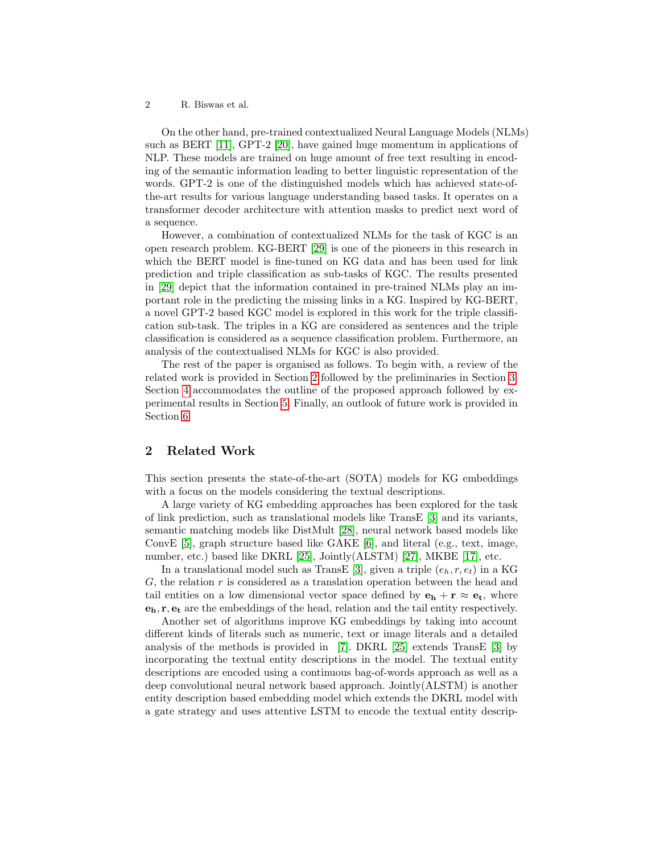On the other hand, pre-trained contextualized Neural Language Models (NLMs) such as BERT [\[11\]](#page-7-0), GPT-2 [\[20\]](#page-8-0), have gained huge momentum in applications of NLP. These models are trained on huge amount of free text resulting in encoding of the semantic information leading to better linguistic representation of the words. GPT-2 is one of the distinguished models which has achieved state-ofthe-art results for various language understanding based tasks. It operates on a transformer decoder architecture with attention masks to predict next word of a sequence.

However, a combination of contextualized NLMs for the task of KGC is an open research problem. KG-BERT [\[29\]](#page-8-1) is one of the pioneers in this research in which the BERT model is fine-tuned on KG data and has been used for link prediction and triple classification as sub-tasks of KGC. The results presented in [\[29\]](#page-8-1) depict that the information contained in pre-trained NLMs play an important role in the predicting the missing links in a KG. Inspired by KG-BERT, a novel GPT-2 based KGC model is explored in this work for the triple classification sub-task. The triples in a KG are considered as sentences and the triple classification is considered as a sequence classification problem. Furthermore, an analysis of the contextualised NLMs for KGC is also provided.

The rest of the paper is organised as follows. To begin with, a review of the related work is provided in Section [2](#page-1-0) followed by the preliminaries in Section [3.](#page-2-0) Section [4](#page-3-0) accommodates the outline of the proposed approach followed by experimental results in Section [5.](#page-4-0) Finally, an outlook of future work is provided in Section [6.](#page-6-0)

# <span id="page-1-0"></span>2 Related Work

This section presents the state-of-the-art (SOTA) models for KG embeddings with a focus on the models considering the textual descriptions.

A large variety of KG embedding approaches has been explored for the task of link prediction, such as translational models like TransE [\[3\]](#page-7-1) and its variants, semantic matching models like DistMult [\[28\]](#page-8-2), neural network based models like ConvE [\[5\]](#page-7-2), graph structure based like GAKE [\[6\]](#page-7-3), and literal (e.g., text, image, number, etc.) based like DKRL [\[25\]](#page-8-3), Jointly(ALSTM) [\[27\]](#page-8-4), MKBE [\[17\]](#page-8-5), etc.

In a translational model such as TransE [\[3\]](#page-7-1), given a triple  $(e_h, r, e_t)$  in a KG  $G$ , the relation  $r$  is considered as a translation operation between the head and tail entities on a low dimensional vector space defined by  $\mathbf{e}_h + \mathbf{r} \approx \mathbf{e}_t$ , where  $e_h$ ,  $r, e_t$  are the embeddings of the head, relation and the tail entity respectively.

Another set of algorithms improve KG embeddings by taking into account different kinds of literals such as numeric, text or image literals and a detailed analysis of the methods is provided in [\[7\]](#page-7-4). DKRL [\[25\]](#page-8-3) extends TransE [\[3\]](#page-7-1) by incorporating the textual entity descriptions in the model. The textual entity descriptions are encoded using a continuous bag-of-words approach as well as a deep convolutional neural network based approach. Jointly(ALSTM) is another entity description based embedding model which extends the DKRL model with a gate strategy and uses attentive LSTM to encode the textual entity descrip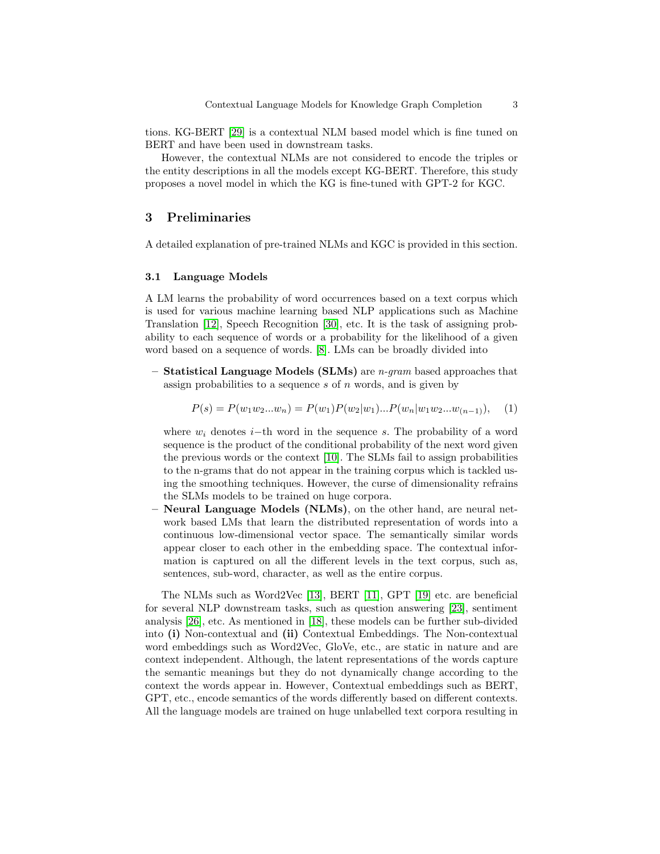tions. KG-BERT [\[29\]](#page-8-1) is a contextual NLM based model which is fine tuned on BERT and have been used in downstream tasks.

However, the contextual NLMs are not considered to encode the triples or the entity descriptions in all the models except KG-BERT. Therefore, this study proposes a novel model in which the KG is fine-tuned with GPT-2 for KGC.

### <span id="page-2-0"></span>3 Preliminaries

A detailed explanation of pre-trained NLMs and KGC is provided in this section.

#### 3.1 Language Models

A LM learns the probability of word occurrences based on a text corpus which is used for various machine learning based NLP applications such as Machine Translation [\[12\]](#page-7-5), Speech Recognition [\[30\]](#page-8-6), etc. It is the task of assigning probability to each sequence of words or a probability for the likelihood of a given word based on a sequence of words. [\[8\]](#page-7-6). LMs can be broadly divided into

– Statistical Language Models (SLMs) are  $n$ -gram based approaches that assign probabilities to a sequence  $s$  of  $n$  words, and is given by

$$
P(s) = P(w_1 w_2 ... w_n) = P(w_1) P(w_2 | w_1) ... P(w_n | w_1 w_2 ... w_{(n-1)}),
$$
 (1)

where  $w_i$  denotes i–th word in the sequence s. The probability of a word sequence is the product of the conditional probability of the next word given the previous words or the context [\[10\]](#page-7-7). The SLMs fail to assign probabilities to the n-grams that do not appear in the training corpus which is tackled using the smoothing techniques. However, the curse of dimensionality refrains the SLMs models to be trained on huge corpora.

– Neural Language Models (NLMs), on the other hand, are neural network based LMs that learn the distributed representation of words into a continuous low-dimensional vector space. The semantically similar words appear closer to each other in the embedding space. The contextual information is captured on all the different levels in the text corpus, such as, sentences, sub-word, character, as well as the entire corpus.

The NLMs such as Word2Vec [\[13\]](#page-7-8), BERT [\[11\]](#page-7-0), GPT [\[19\]](#page-8-7) etc. are beneficial for several NLP downstream tasks, such as question answering [\[23\]](#page-8-8), sentiment analysis [\[26\]](#page-8-9), etc. As mentioned in [\[18\]](#page-8-10), these models can be further sub-divided into (i) Non-contextual and (ii) Contextual Embeddings. The Non-contextual word embeddings such as Word2Vec, GloVe, etc., are static in nature and are context independent. Although, the latent representations of the words capture the semantic meanings but they do not dynamically change according to the context the words appear in. However, Contextual embeddings such as BERT, GPT, etc., encode semantics of the words differently based on different contexts. All the language models are trained on huge unlabelled text corpora resulting in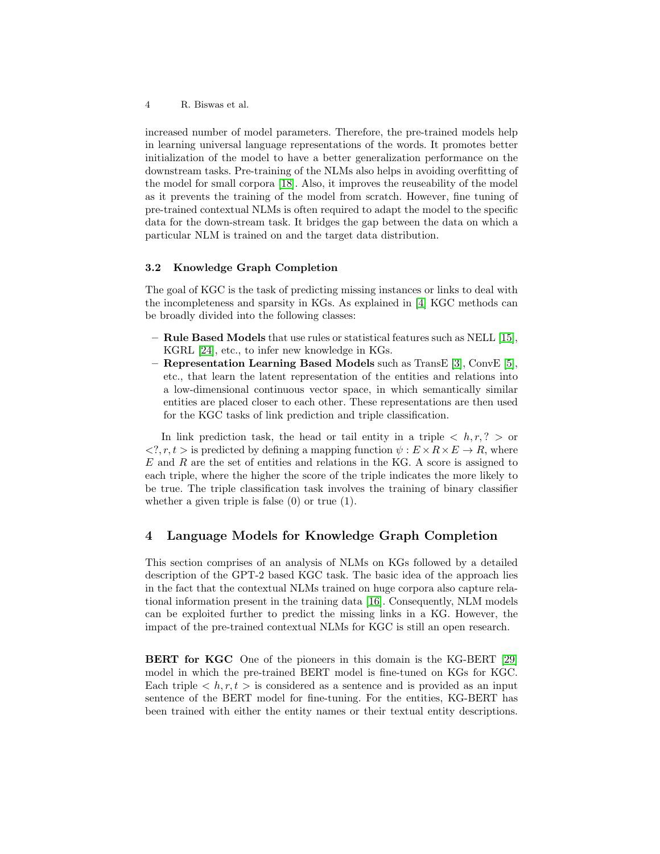increased number of model parameters. Therefore, the pre-trained models help in learning universal language representations of the words. It promotes better initialization of the model to have a better generalization performance on the downstream tasks. Pre-training of the NLMs also helps in avoiding overfitting of the model for small corpora [\[18\]](#page-8-10). Also, it improves the reuseability of the model as it prevents the training of the model from scratch. However, fine tuning of pre-trained contextual NLMs is often required to adapt the model to the specific data for the down-stream task. It bridges the gap between the data on which a particular NLM is trained on and the target data distribution.

#### 3.2 Knowledge Graph Completion

The goal of KGC is the task of predicting missing instances or links to deal with the incompleteness and sparsity in KGs. As explained in [\[4\]](#page-7-9) KGC methods can be broadly divided into the following classes:

- Rule Based Models that use rules or statistical features such as NELL [\[15\]](#page-7-10), KGRL [\[24\]](#page-8-11), etc., to infer new knowledge in KGs.
- Representation Learning Based Models such as TransE [\[3\]](#page-7-1), ConvE [\[5\]](#page-7-2), etc., that learn the latent representation of the entities and relations into a low-dimensional continuous vector space, in which semantically similar entities are placed closer to each other. These representations are then used for the KGC tasks of link prediction and triple classification.

In link prediction task, the head or tail entity in a triple  $\langle h, r, ? \rangle$  or  $\langle 2, r, t \rangle$  is predicted by defining a mapping function  $\psi : E \times R \times E \to R$ , where  $E$  and  $R$  are the set of entities and relations in the KG. A score is assigned to each triple, where the higher the score of the triple indicates the more likely to be true. The triple classification task involves the training of binary classifier whether a given triple is false (0) or true (1).

### <span id="page-3-0"></span>4 Language Models for Knowledge Graph Completion

This section comprises of an analysis of NLMs on KGs followed by a detailed description of the GPT-2 based KGC task. The basic idea of the approach lies in the fact that the contextual NLMs trained on huge corpora also capture relational information present in the training data [\[16\]](#page-7-11). Consequently, NLM models can be exploited further to predict the missing links in a KG. However, the impact of the pre-trained contextual NLMs for KGC is still an open research.

BERT for KGC One of the pioneers in this domain is the KG-BERT [\[29\]](#page-8-1) model in which the pre-trained BERT model is fine-tuned on KGs for KGC. Each triple  $\langle h, r, t \rangle$  is considered as a sentence and is provided as an input sentence of the BERT model for fine-tuning. For the entities, KG-BERT has been trained with either the entity names or their textual entity descriptions.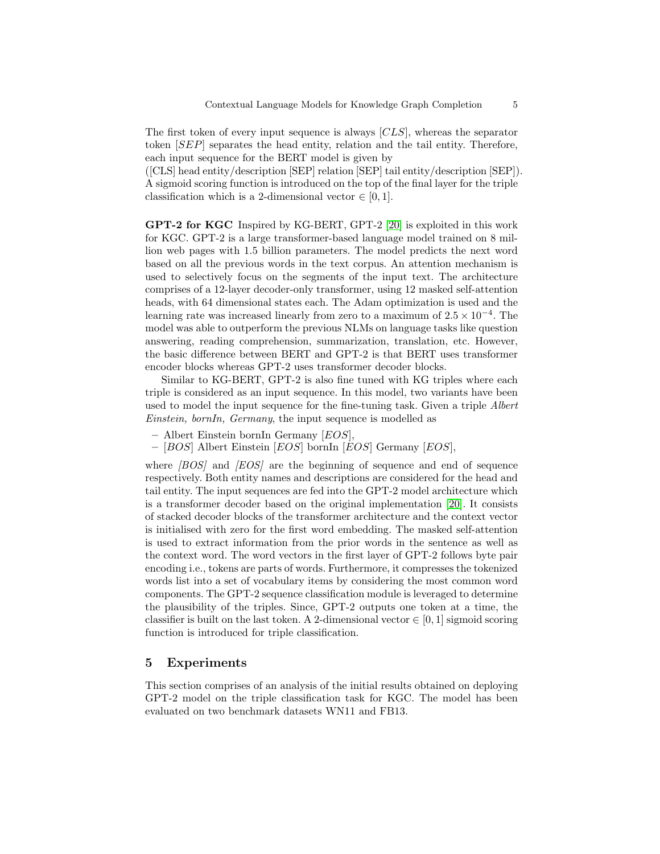The first token of every input sequence is always  $[CLS]$ , whereas the separator token [SEP] separates the head entity, relation and the tail entity. Therefore, each input sequence for the BERT model is given by

([CLS] head entity/description [SEP] relation [SEP] tail entity/description [SEP]). A sigmoid scoring function is introduced on the top of the final layer for the triple classification which is a 2-dimensional vector  $\in [0, 1]$ .

GPT-2 for KGC Inspired by KG-BERT, GPT-2 [\[20\]](#page-8-0) is exploited in this work for KGC. GPT-2 is a large transformer-based language model trained on 8 million web pages with 1.5 billion parameters. The model predicts the next word based on all the previous words in the text corpus. An attention mechanism is used to selectively focus on the segments of the input text. The architecture comprises of a 12-layer decoder-only transformer, using 12 masked self-attention heads, with 64 dimensional states each. The Adam optimization is used and the learning rate was increased linearly from zero to a maximum of  $2.5 \times 10^{-4}$ . The model was able to outperform the previous NLMs on language tasks like question answering, reading comprehension, summarization, translation, etc. However, the basic difference between BERT and GPT-2 is that BERT uses transformer encoder blocks whereas GPT-2 uses transformer decoder blocks.

Similar to KG-BERT, GPT-2 is also fine tuned with KG triples where each triple is considered as an input sequence. In this model, two variants have been used to model the input sequence for the fine-tuning task. Given a triple Albert Einstein, bornIn, Germany, the input sequence is modelled as

- $-$  Albert Einstein bornIn Germany  $[EOS]$ ,
- $-$  [BOS] Albert Einstein [EOS] bornIn [EOS] Germany [EOS],

where *[BOS]* and *[EOS]* are the beginning of sequence and end of sequence respectively. Both entity names and descriptions are considered for the head and tail entity. The input sequences are fed into the GPT-2 model architecture which is a transformer decoder based on the original implementation [\[20\]](#page-8-0). It consists of stacked decoder blocks of the transformer architecture and the context vector is initialised with zero for the first word embedding. The masked self-attention is used to extract information from the prior words in the sentence as well as the context word. The word vectors in the first layer of GPT-2 follows byte pair encoding i.e., tokens are parts of words. Furthermore, it compresses the tokenized words list into a set of vocabulary items by considering the most common word components. The GPT-2 sequence classification module is leveraged to determine the plausibility of the triples. Since, GPT-2 outputs one token at a time, the classifier is built on the last token. A 2-dimensional vector  $\in [0,1]$  sigmoid scoring function is introduced for triple classification.

# <span id="page-4-0"></span>5 Experiments

This section comprises of an analysis of the initial results obtained on deploying GPT-2 model on the triple classification task for KGC. The model has been evaluated on two benchmark datasets WN11 and FB13.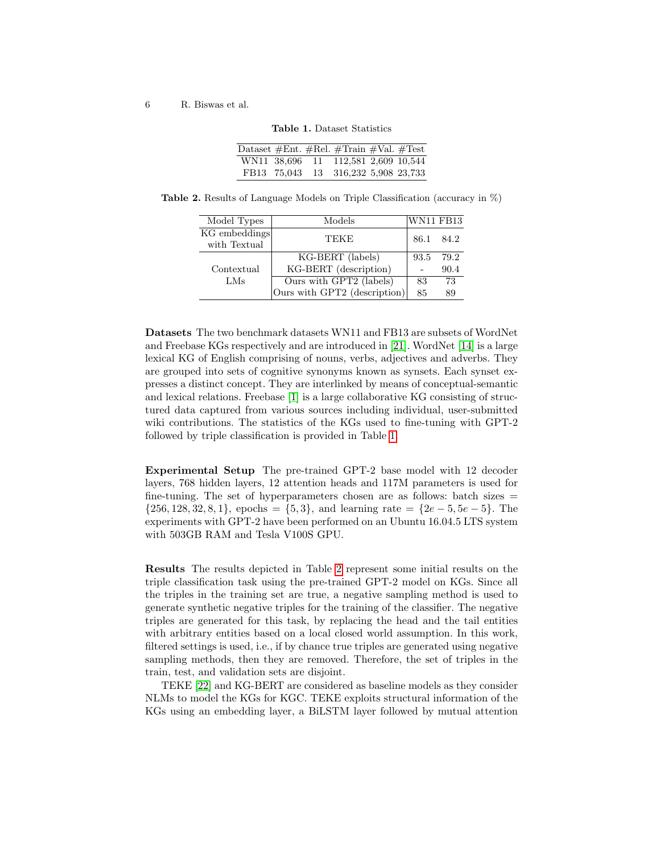| Dataset #Ent. #Rel. #Train #Val. #Test |  |                                     |  |
|----------------------------------------|--|-------------------------------------|--|
|                                        |  | WN11 38,696 11 112,581 2,609 10,544 |  |
|                                        |  | FB13 75,043 13 316,232 5,908 23,733 |  |

<span id="page-5-0"></span>Table 1. Dataset Statistics

Table 2. Results of Language Models on Triple Classification (accuracy in %)

<span id="page-5-1"></span>

| Model Types   | Models                               | <b>WN11 FB13</b> |      |
|---------------|--------------------------------------|------------------|------|
| KG embeddings | TEKE                                 | 86.1             | 84.2 |
| with Textual  |                                      |                  |      |
|               | $\overline{\text{KG-BERT}}$ (labels) | 93.5             | 79.2 |
| Contextual    | KG-BERT (description)                |                  | 90.4 |
| LMs           | Ours with GPT2 (labels)              | 83               | 73   |
|               | Ours with GPT2 (description)         | 85               | 89   |

Datasets The two benchmark datasets WN11 and FB13 are subsets of WordNet and Freebase KGs respectively and are introduced in [\[21\]](#page-8-12). WordNet [\[14\]](#page-7-12) is a large lexical KG of English comprising of nouns, verbs, adjectives and adverbs. They are grouped into sets of cognitive synonyms known as synsets. Each synset expresses a distinct concept. They are interlinked by means of conceptual-semantic and lexical relations. Freebase [\[1\]](#page-7-13) is a large collaborative KG consisting of structured data captured from various sources including individual, user-submitted wiki contributions. The statistics of the KGs used to fine-tuning with GPT-2 followed by triple classification is provided in Table [1.](#page-5-0)

Experimental Setup The pre-trained GPT-2 base model with 12 decoder layers, 768 hidden layers, 12 attention heads and 117M parameters is used for fine-tuning. The set of hyperparameters chosen are as follows: batch sizes  $=$  ${256, 128, 32, 8, 1}$ , epochs =  ${5, 3}$ , and learning rate =  ${2e-5, 5e-5}$ . The experiments with GPT-2 have been performed on an Ubuntu 16.04.5 LTS system with 503GB RAM and Tesla V100S GPU.

Results The results depicted in Table [2](#page-5-1) represent some initial results on the triple classification task using the pre-trained GPT-2 model on KGs. Since all the triples in the training set are true, a negative sampling method is used to generate synthetic negative triples for the training of the classifier. The negative triples are generated for this task, by replacing the head and the tail entities with arbitrary entities based on a local closed world assumption. In this work, filtered settings is used, i.e., if by chance true triples are generated using negative sampling methods, then they are removed. Therefore, the set of triples in the train, test, and validation sets are disjoint.

TEKE [\[22\]](#page-8-13) and KG-BERT are considered as baseline models as they consider NLMs to model the KGs for KGC. TEKE exploits structural information of the KGs using an embedding layer, a BiLSTM layer followed by mutual attention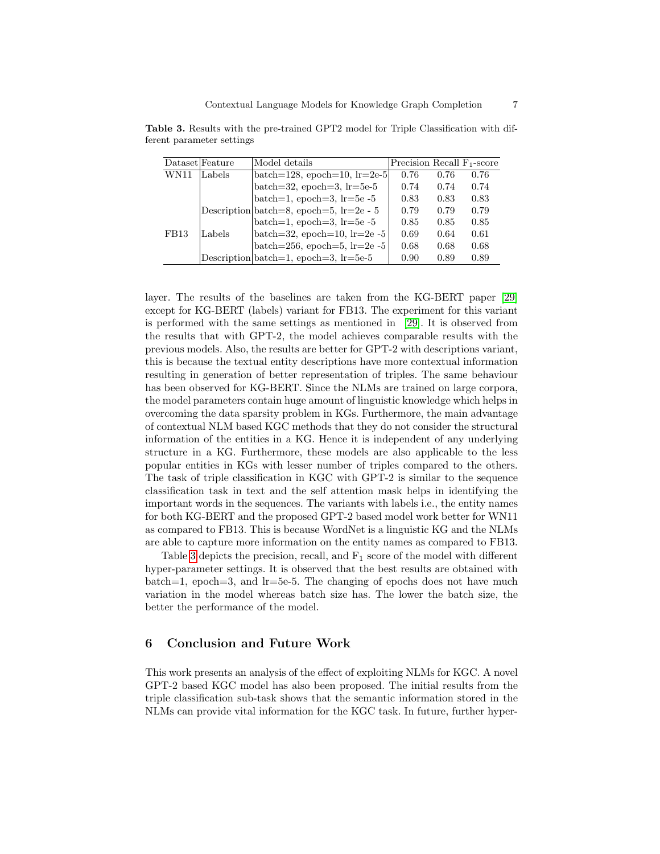|      | Dataset Feature | Model details                                        | Precision Recall $F_1$ -score |      |      |
|------|-----------------|------------------------------------------------------|-------------------------------|------|------|
| WN11 | Labels          | batch=128, epoch=10, $r=2e-5$                        | 0.76                          | 0.76 | 0.76 |
|      |                 | batch=32, epoch=3, $lr=5e-5$                         | 0.74                          | 0.74 | 0.74 |
|      |                 | batch=1, epoch=3, $lr=5e-5$                          | 0.83                          | 0.83 | 0.83 |
|      |                 | Description batch=8, epoch=5, lr=2e - 5              | 0.79                          | 0.79 | 0.79 |
|      |                 | batch=1, epoch=3, $lr=5e-5$                          | 0.85                          | 0.85 | 0.85 |
| FB13 | Labels          | batch=32, epoch=10, $lr=2e-5$                        | 0.69                          | 0.64 | 0.61 |
|      |                 | batch= $256$ , epoch= $5$ , lr= $2e-5$               | 0.68                          | 0.68 | 0.68 |
|      |                 | Description $ \text{batch}=1 $ , epoch=3, $ r=5e-5 $ | 0.90                          | 0.89 | 0.89 |

<span id="page-6-1"></span>Table 3. Results with the pre-trained GPT2 model for Triple Classification with different parameter settings

layer. The results of the baselines are taken from the KG-BERT paper [\[29\]](#page-8-1) except for KG-BERT (labels) variant for FB13. The experiment for this variant is performed with the same settings as mentioned in [\[29\]](#page-8-1). It is observed from the results that with GPT-2, the model achieves comparable results with the previous models. Also, the results are better for GPT-2 with descriptions variant, this is because the textual entity descriptions have more contextual information resulting in generation of better representation of triples. The same behaviour has been observed for KG-BERT. Since the NLMs are trained on large corpora, the model parameters contain huge amount of linguistic knowledge which helps in overcoming the data sparsity problem in KGs. Furthermore, the main advantage of contextual NLM based KGC methods that they do not consider the structural information of the entities in a KG. Hence it is independent of any underlying structure in a KG. Furthermore, these models are also applicable to the less popular entities in KGs with lesser number of triples compared to the others. The task of triple classification in KGC with GPT-2 is similar to the sequence classification task in text and the self attention mask helps in identifying the important words in the sequences. The variants with labels i.e., the entity names for both KG-BERT and the proposed GPT-2 based model work better for WN11 as compared to FB13. This is because WordNet is a linguistic KG and the NLMs are able to capture more information on the entity names as compared to FB13.

Table [3](#page-6-1) depicts the precision, recall, and  $F_1$  score of the model with different hyper-parameter settings. It is observed that the best results are obtained with  $batch=1$ , epoch=3, and lr=5e-5. The changing of epochs does not have much variation in the model whereas batch size has. The lower the batch size, the better the performance of the model.

## <span id="page-6-0"></span>6 Conclusion and Future Work

This work presents an analysis of the effect of exploiting NLMs for KGC. A novel GPT-2 based KGC model has also been proposed. The initial results from the triple classification sub-task shows that the semantic information stored in the NLMs can provide vital information for the KGC task. In future, further hyper-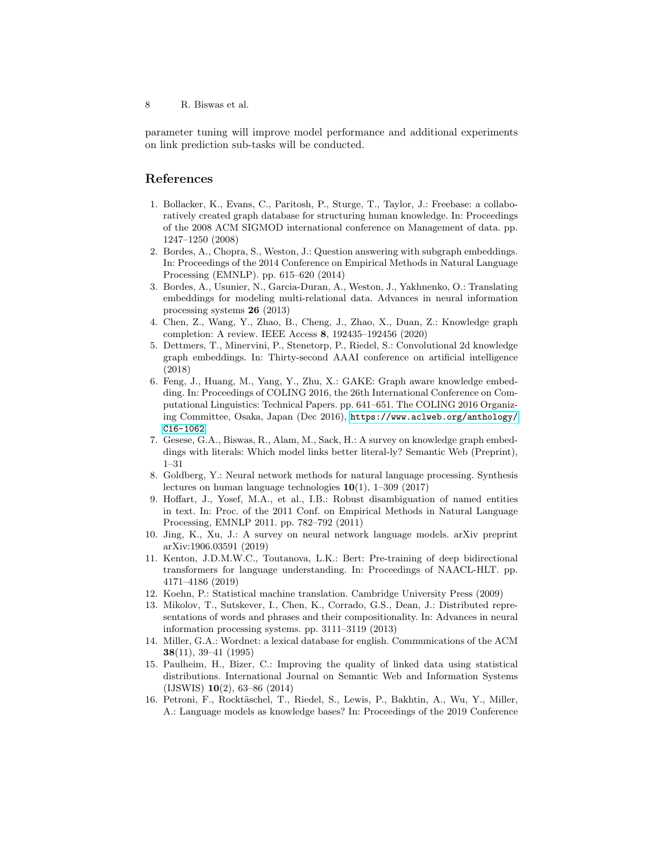parameter tuning will improve model performance and additional experiments on link prediction sub-tasks will be conducted.

# References

- <span id="page-7-13"></span>1. Bollacker, K., Evans, C., Paritosh, P., Sturge, T., Taylor, J.: Freebase: a collaboratively created graph database for structuring human knowledge. In: Proceedings of the 2008 ACM SIGMOD international conference on Management of data. pp. 1247–1250 (2008)
- 2. Bordes, A., Chopra, S., Weston, J.: Question answering with subgraph embeddings. In: Proceedings of the 2014 Conference on Empirical Methods in Natural Language Processing (EMNLP). pp. 615–620 (2014)
- <span id="page-7-1"></span>3. Bordes, A., Usunier, N., Garcia-Duran, A., Weston, J., Yakhnenko, O.: Translating embeddings for modeling multi-relational data. Advances in neural information processing systems 26 (2013)
- <span id="page-7-9"></span>4. Chen, Z., Wang, Y., Zhao, B., Cheng, J., Zhao, X., Duan, Z.: Knowledge graph completion: A review. IEEE Access 8, 192435–192456 (2020)
- <span id="page-7-2"></span>5. Dettmers, T., Minervini, P., Stenetorp, P., Riedel, S.: Convolutional 2d knowledge graph embeddings. In: Thirty-second AAAI conference on artificial intelligence (2018)
- <span id="page-7-3"></span>6. Feng, J., Huang, M., Yang, Y., Zhu, X.: GAKE: Graph aware knowledge embedding. In: Proceedings of COLING 2016, the 26th International Conference on Computational Linguistics: Technical Papers. pp. 641–651. The COLING 2016 Organizing Committee, Osaka, Japan (Dec 2016), [https://www.aclweb.org/anthology/](https://www.aclweb.org/anthology/C16-1062) [C16-1062](https://www.aclweb.org/anthology/C16-1062)
- <span id="page-7-4"></span>7. Gesese, G.A., Biswas, R., Alam, M., Sack, H.: A survey on knowledge graph embeddings with literals: Which model links better literal-ly? Semantic Web (Preprint), 1–31
- <span id="page-7-6"></span>8. Goldberg, Y.: Neural network methods for natural language processing. Synthesis lectures on human language technologies  $10(1)$ , 1–309 (2017)
- 9. Hoffart, J., Yosef, M.A., et al., I.B.: Robust disambiguation of named entities in text. In: Proc. of the 2011 Conf. on Empirical Methods in Natural Language Processing, EMNLP 2011. pp. 782–792 (2011)
- <span id="page-7-7"></span>10. Jing, K., Xu, J.: A survey on neural network language models. arXiv preprint arXiv:1906.03591 (2019)
- <span id="page-7-0"></span>11. Kenton, J.D.M.W.C., Toutanova, L.K.: Bert: Pre-training of deep bidirectional transformers for language understanding. In: Proceedings of NAACL-HLT. pp. 4171–4186 (2019)
- <span id="page-7-5"></span>12. Koehn, P.: Statistical machine translation. Cambridge University Press (2009)
- <span id="page-7-8"></span>13. Mikolov, T., Sutskever, I., Chen, K., Corrado, G.S., Dean, J.: Distributed representations of words and phrases and their compositionality. In: Advances in neural information processing systems. pp. 3111–3119 (2013)
- <span id="page-7-12"></span>14. Miller, G.A.: Wordnet: a lexical database for english. Communications of the ACM 38(11), 39–41 (1995)
- <span id="page-7-10"></span>15. Paulheim, H., Bizer, C.: Improving the quality of linked data using statistical distributions. International Journal on Semantic Web and Information Systems (IJSWIS) 10(2), 63–86 (2014)
- <span id="page-7-11"></span>16. Petroni, F., Rocktäschel, T., Riedel, S., Lewis, P., Bakhtin, A., Wu, Y., Miller, A.: Language models as knowledge bases? In: Proceedings of the 2019 Conference